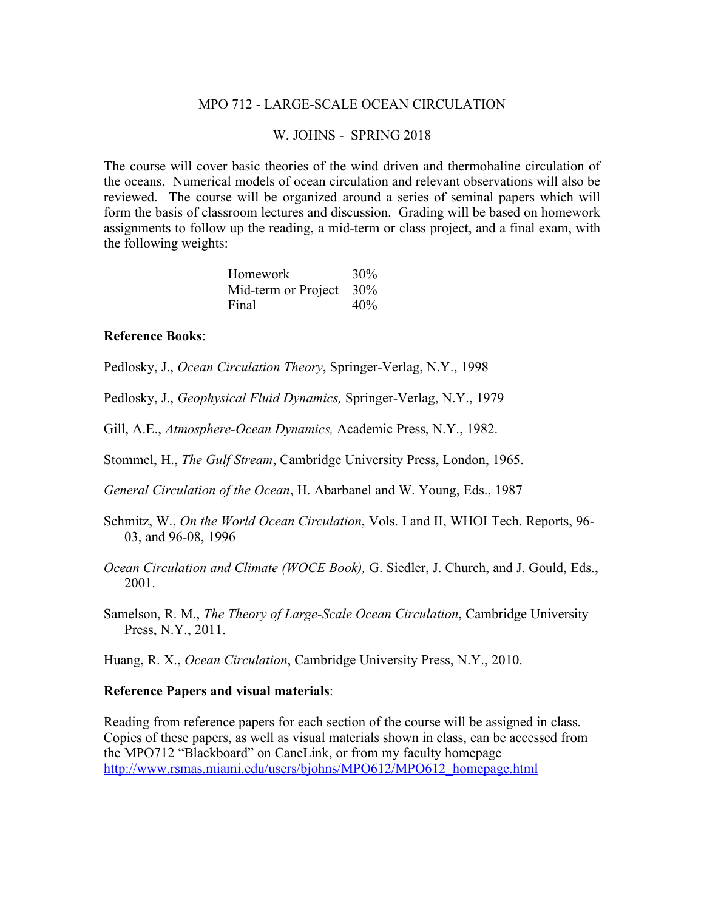### MPO 712 - LARGE-SCALE OCEAN CIRCULATION

### W. JOHNS - SPRING 2018

The course will cover basic theories of the wind driven and thermohaline circulation of the oceans. Numerical models of ocean circulation and relevant observations will also be reviewed. The course will be organized around a series of seminal papers which will form the basis of classroom lectures and discussion. Grading will be based on homework assignments to follow up the reading, a mid-term or class project, and a final exam, with the following weights:

| Homework            | 30% |
|---------------------|-----|
| Mid-term or Project | 30% |
| Final               | 40% |

#### **Reference Books**:

Pedlosky, J., *Ocean Circulation Theory*, Springer-Verlag, N.Y., 1998

Pedlosky, J., *Geophysical Fluid Dynamics,* Springer-Verlag, N.Y., 1979

Gill, A.E., *Atmosphere-Ocean Dynamics,* Academic Press, N.Y., 1982.

Stommel, H., *The Gulf Stream*, Cambridge University Press, London, 1965.

*General Circulation of the Ocean*, H. Abarbanel and W. Young, Eds., 1987

Schmitz, W., *On the World Ocean Circulation*, Vols. I and II, WHOI Tech. Reports, 96- 03, and 96-08, 1996

*Ocean Circulation and Climate (WOCE Book),* G. Siedler, J. Church, and J. Gould, Eds., 2001.

Samelson, R. M., *The Theory of Large-Scale Ocean Circulation*, Cambridge University Press, N.Y., 2011.

Huang, R. X., *Ocean Circulation*, Cambridge University Press, N.Y., 2010.

#### **Reference Papers and visual materials**:

Reading from reference papers for each section of the course will be assigned in class. Copies of these papers, as well as visual materials shown in class, can be accessed from the MPO712 "Blackboard" on CaneLink, or from my faculty homepage http://www.rsmas.miami.edu/users/bjohns/MPO612/MPO612\_homepage.html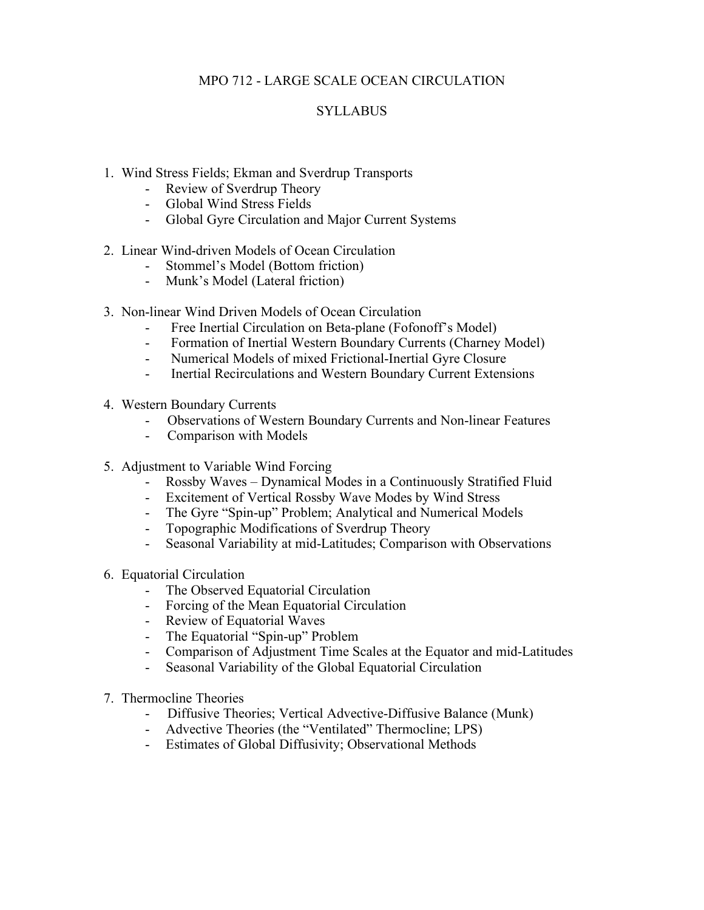# MPO 712 - LARGE SCALE OCEAN CIRCULATION

# **SYLLABUS**

- 1. Wind Stress Fields; Ekman and Sverdrup Transports
	- Review of Sverdrup Theory
	- Global Wind Stress Fields
	- Global Gyre Circulation and Major Current Systems
- 2. Linear Wind-driven Models of Ocean Circulation
	- Stommel's Model (Bottom friction)
	- Munk's Model (Lateral friction)
- 3. Non-linear Wind Driven Models of Ocean Circulation
	- Free Inertial Circulation on Beta-plane (Fofonoff's Model)
	- Formation of Inertial Western Boundary Currents (Charney Model)
	- Numerical Models of mixed Frictional-Inertial Gyre Closure
	- Inertial Recirculations and Western Boundary Current Extensions
- 4. Western Boundary Currents
	- Observations of Western Boundary Currents and Non-linear Features
	- Comparison with Models
- 5. Adjustment to Variable Wind Forcing
	- Rossby Waves Dynamical Modes in a Continuously Stratified Fluid
	- Excitement of Vertical Rossby Wave Modes by Wind Stress
	- The Gyre "Spin-up" Problem; Analytical and Numerical Models
	- Topographic Modifications of Sverdrup Theory
	- Seasonal Variability at mid-Latitudes; Comparison with Observations
- 6. Equatorial Circulation
	- The Observed Equatorial Circulation
	- Forcing of the Mean Equatorial Circulation
	- Review of Equatorial Waves
	- The Equatorial "Spin-up" Problem
	- Comparison of Adjustment Time Scales at the Equator and mid-Latitudes
	- Seasonal Variability of the Global Equatorial Circulation
- 7. Thermocline Theories
	- Diffusive Theories; Vertical Advective-Diffusive Balance (Munk)
	- Advective Theories (the "Ventilated" Thermocline; LPS)
	- Estimates of Global Diffusivity; Observational Methods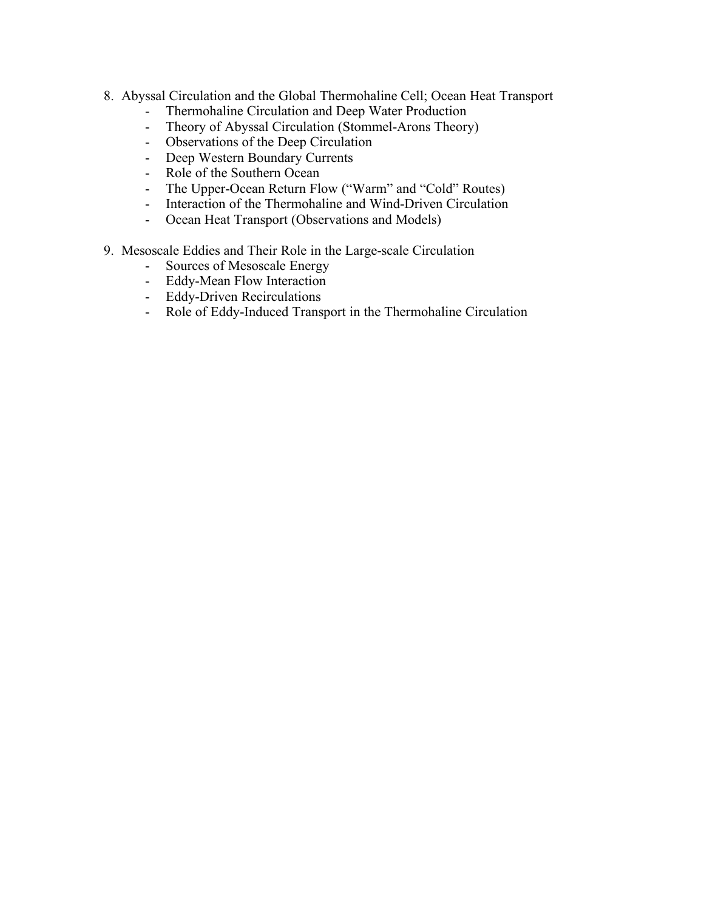- 8. Abyssal Circulation and the Global Thermohaline Cell; Ocean Heat Transport
	-
	- Thermohaline Circulation and Deep Water Production<br>- Theory of Abyssal Circulation (Stommel-Arons Theory Theory of Abyssal Circulation (Stommel-Arons Theory)
	- Observations of the Deep Circulation
	- Deep Western Boundary Currents
	- Role of the Southern Ocean
	- The Upper-Ocean Return Flow ("Warm" and "Cold" Routes)
	- Interaction of the Thermohaline and Wind-Driven Circulation
	- Ocean Heat Transport (Observations and Models)
- 9. Mesoscale Eddies and Their Role in the Large-scale Circulation
	- Sources of Mesoscale Energy
	- Eddy-Mean Flow Interaction
	- Eddy-Driven Recirculations
	- Role of Eddy-Induced Transport in the Thermohaline Circulation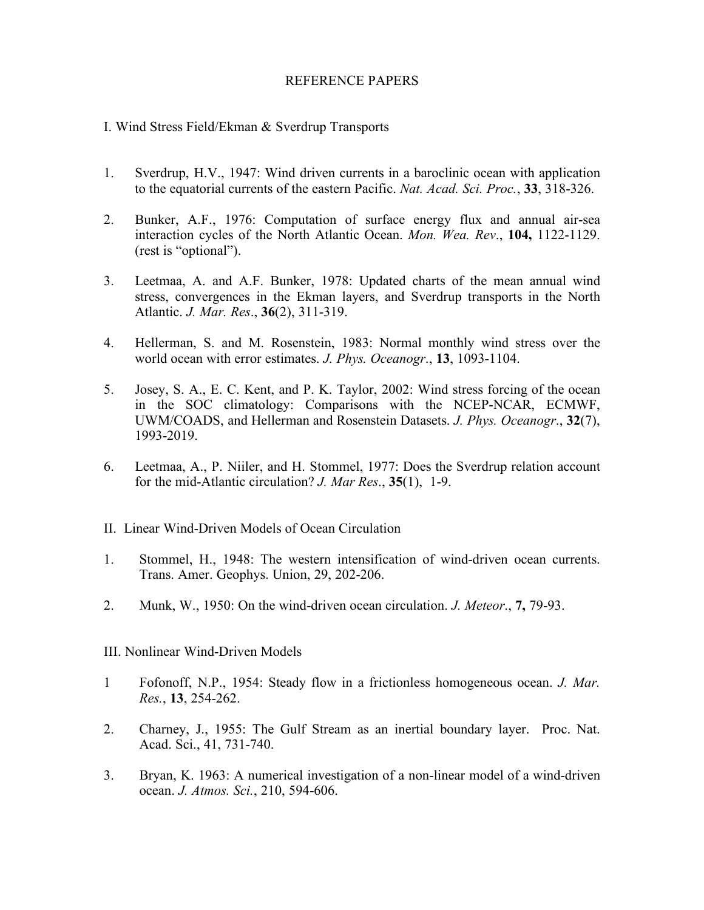## REFERENCE PAPERS

## I. Wind Stress Field/Ekman & Sverdrup Transports

- 1. Sverdrup, H.V., 1947: Wind driven currents in a baroclinic ocean with application to the equatorial currents of the eastern Pacific. *Nat. Acad. Sci. Proc.*, **33**, 318-326.
- 2. Bunker, A.F., 1976: Computation of surface energy flux and annual air-sea interaction cycles of the North Atlantic Ocean. *Mon. Wea. Rev*., **104,** 1122-1129. (rest is "optional").
- 3. Leetmaa, A. and A.F. Bunker, 1978: Updated charts of the mean annual wind stress, convergences in the Ekman layers, and Sverdrup transports in the North Atlantic. *J. Mar. Res*., **36**(2), 311-319.
- 4. Hellerman, S. and M. Rosenstein, 1983: Normal monthly wind stress over the world ocean with error estimates. *J. Phys. Oceanogr*., **13**, 1093-1104.
- 5. Josey, S. A., E. C. Kent, and P. K. Taylor, 2002: Wind stress forcing of the ocean in the SOC climatology: Comparisons with the NCEP-NCAR, ECMWF, UWM/COADS, and Hellerman and Rosenstein Datasets. *J. Phys. Oceanogr*., **32**(7), 1993-2019.
- 6. Leetmaa, A., P. Niiler, and H. Stommel, 1977: Does the Sverdrup relation account for the mid-Atlantic circulation? *J. Mar Res*., **35**(1), 1-9.
- II. Linear Wind-Driven Models of Ocean Circulation
- 1. Stommel, H., 1948: The western intensification of wind-driven ocean currents. Trans. Amer. Geophys. Union, 29, 202-206.
- 2. Munk, W., 1950: On the wind-driven ocean circulation. *J. Meteor*., **7,** 79-93.
- III. Nonlinear Wind-Driven Models
- 1 Fofonoff, N.P., 1954: Steady flow in a frictionless homogeneous ocean. *J. Mar. Res.*, **13**, 254-262.
- 2. Charney, J., 1955: The Gulf Stream as an inertial boundary layer. Proc. Nat. Acad. Sci., 41, 731-740.
- 3. Bryan, K. 1963: A numerical investigation of a non-linear model of a wind-driven ocean. *J. Atmos. Sci.*, 210, 594-606.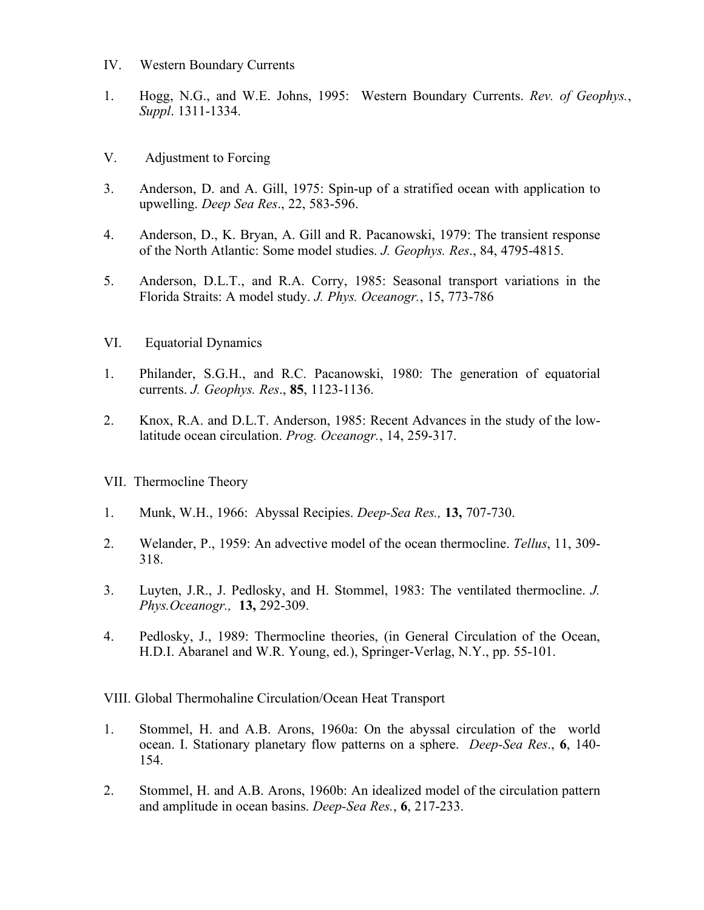- IV. Western Boundary Currents
- 1. Hogg, N.G., and W.E. Johns, 1995: Western Boundary Currents. *Rev. of Geophys.*, *Suppl*. 1311-1334.
- V. Adjustment to Forcing
- 3. Anderson, D. and A. Gill, 1975: Spin-up of a stratified ocean with application to upwelling. *Deep Sea Res*., 22, 583-596.
- 4. Anderson, D., K. Bryan, A. Gill and R. Pacanowski, 1979: The transient response of the North Atlantic: Some model studies. *J. Geophys. Res*., 84, 4795-4815.
- 5. Anderson, D.L.T., and R.A. Corry, 1985: Seasonal transport variations in the Florida Straits: A model study. *J. Phys. Oceanogr.*, 15, 773-786
- VI. Equatorial Dynamics
- 1. Philander, S.G.H., and R.C. Pacanowski, 1980: The generation of equatorial currents. *J. Geophys. Res*., **85**, 1123-1136.
- 2. Knox, R.A. and D.L.T. Anderson, 1985: Recent Advances in the study of the lowlatitude ocean circulation. *Prog. Oceanogr.*, 14, 259-317.
- VII. Thermocline Theory
- 1. Munk, W.H., 1966: Abyssal Recipies. *Deep-Sea Res.,* **13,** 707-730.
- 2. Welander, P., 1959: An advective model of the ocean thermocline. *Tellus*, 11, 309- 318.
- 3. Luyten, J.R., J. Pedlosky, and H. Stommel, 1983: The ventilated thermocline. *J. Phys.Oceanogr.,* **13,** 292-309.
- 4. Pedlosky, J., 1989: Thermocline theories, (in General Circulation of the Ocean, H.D.I. Abaranel and W.R. Young, ed.), Springer-Verlag, N.Y., pp. 55-101.

VIII. Global Thermohaline Circulation/Ocean Heat Transport

- 1. Stommel, H. and A.B. Arons, 1960a: On the abyssal circulation of the world ocean. I. Stationary planetary flow patterns on a sphere. *Deep-Sea Res*., **6**, 140- 154.
- 2. Stommel, H. and A.B. Arons, 1960b: An idealized model of the circulation pattern and amplitude in ocean basins. *Deep-Sea Res.*, **6**, 217-233.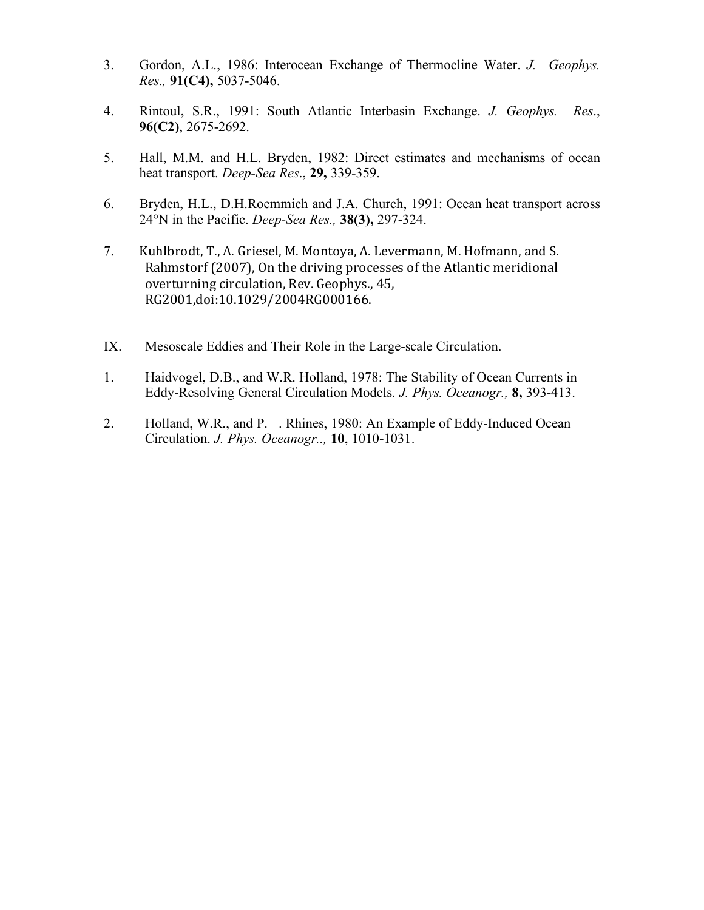- 3. Gordon, A.L., 1986: Interocean Exchange of Thermocline Water. *J. Geophys. Res.,* **91(C4),** 5037-5046.
- 4. Rintoul, S.R., 1991: South Atlantic Interbasin Exchange. *J. Geophys. Res*., **96(C2)**, 2675-2692.
- 5. Hall, M.M. and H.L. Bryden, 1982: Direct estimates and mechanisms of ocean heat transport. *Deep-Sea Res*., **29,** 339-359.
- 6. Bryden, H.L., D.H.Roemmich and J.A. Church, 1991: Ocean heat transport across 24°N in the Pacific. *Deep-Sea Res.,* **38(3),** 297-324.
- 7. Kuhlbrodt, T., A. Griesel, M. Montoya, A. Levermann, M. Hofmann, and S. Rahmstorf (2007), On the driving processes of the Atlantic meridional overturning circulation, Rev. Geophys., 45, RG2001,doi:10.1029/2004RG000166.
- IX. Mesoscale Eddies and Their Role in the Large-scale Circulation.
- 1. Haidvogel, D.B., and W.R. Holland, 1978: The Stability of Ocean Currents in Eddy-Resolving General Circulation Models. *J. Phys. Oceanogr.,* **8,** 393-413.
- 2. Holland, W.R., and P.. Rhines, 1980: An Example of Eddy-Induced Ocean Circulation. *J. Phys. Oceanogr..,* **10**, 1010-1031.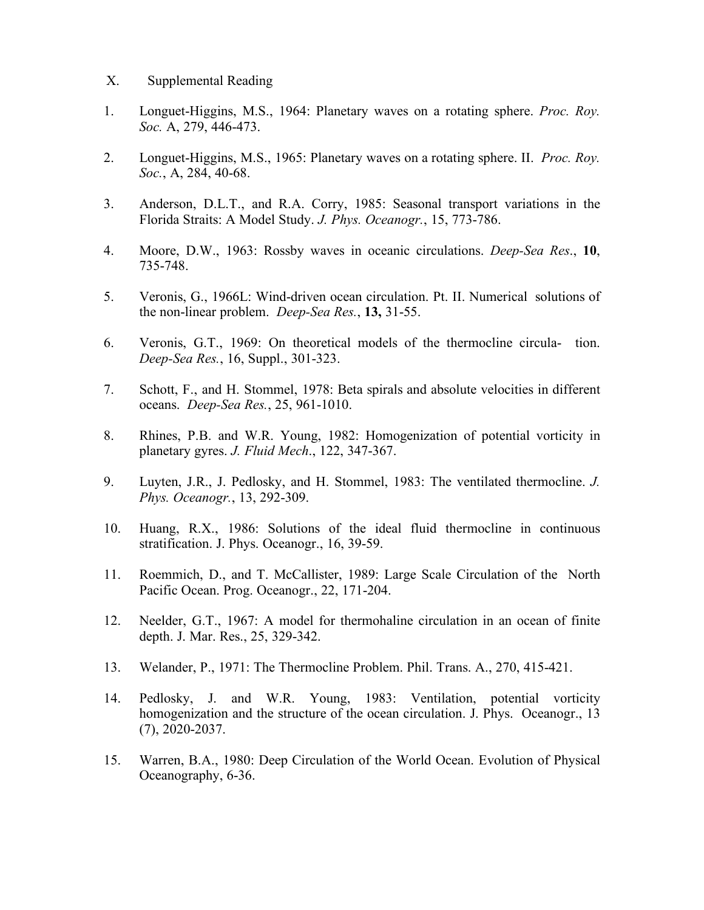### X. Supplemental Reading

- 1. Longuet-Higgins, M.S., 1964: Planetary waves on a rotating sphere. *Proc. Roy. Soc.* A, 279, 446-473.
- 2. Longuet-Higgins, M.S., 1965: Planetary waves on a rotating sphere. II. *Proc. Roy. Soc.*, A, 284, 40-68.
- 3. Anderson, D.L.T., and R.A. Corry, 1985: Seasonal transport variations in the Florida Straits: A Model Study. *J. Phys. Oceanogr.*, 15, 773-786.
- 4. Moore, D.W., 1963: Rossby waves in oceanic circulations. *Deep-Sea Res*., **10**, 735-748.
- 5. Veronis, G., 1966L: Wind-driven ocean circulation. Pt. II. Numerical solutions of the non-linear problem. *Deep-Sea Res.*, **13,** 31-55.
- 6. Veronis, G.T., 1969: On theoretical models of the thermocline circula- tion. *Deep-Sea Res.*, 16, Suppl., 301-323.
- 7. Schott, F., and H. Stommel, 1978: Beta spirals and absolute velocities in different oceans. *Deep-Sea Res.*, 25, 961-1010.
- 8. Rhines, P.B. and W.R. Young, 1982: Homogenization of potential vorticity in planetary gyres. *J. Fluid Mech*., 122, 347-367.
- 9. Luyten, J.R., J. Pedlosky, and H. Stommel, 1983: The ventilated thermocline. *J. Phys. Oceanogr.*, 13, 292-309.
- 10. Huang, R.X., 1986: Solutions of the ideal fluid thermocline in continuous stratification. J. Phys. Oceanogr., 16, 39-59.
- 11. Roemmich, D., and T. McCallister, 1989: Large Scale Circulation of the North Pacific Ocean. Prog. Oceanogr., 22, 171-204.
- 12. Neelder, G.T., 1967: A model for thermohaline circulation in an ocean of finite depth. J. Mar. Res., 25, 329-342.
- 13. Welander, P., 1971: The Thermocline Problem. Phil. Trans. A., 270, 415-421.
- 14. Pedlosky, J. and W.R. Young, 1983: Ventilation, potential vorticity homogenization and the structure of the ocean circulation. J. Phys. Oceanogr., 13 (7), 2020-2037.
- 15. Warren, B.A., 1980: Deep Circulation of the World Ocean. Evolution of Physical Oceanography, 6-36.